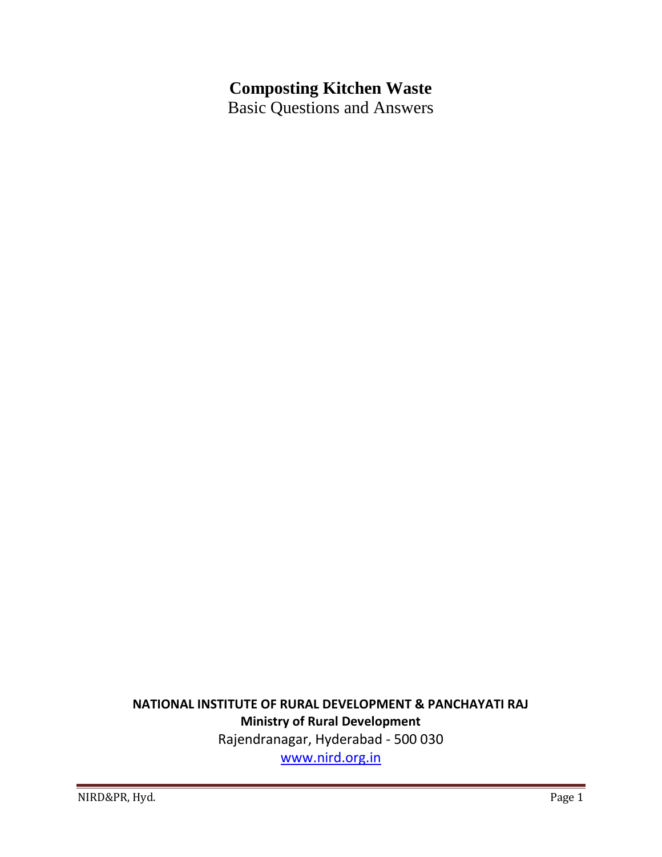# **Composting Kitchen Waste**

Basic Questions and Answers

# **NATIONAL INSTITUTE OF RURAL DEVELOPMENT & PANCHAYATI RAJ Ministry of Rural Development**

Rajendranagar, Hyderabad - 500 030

[www.nird.org.in](http://www.nird.org.in/)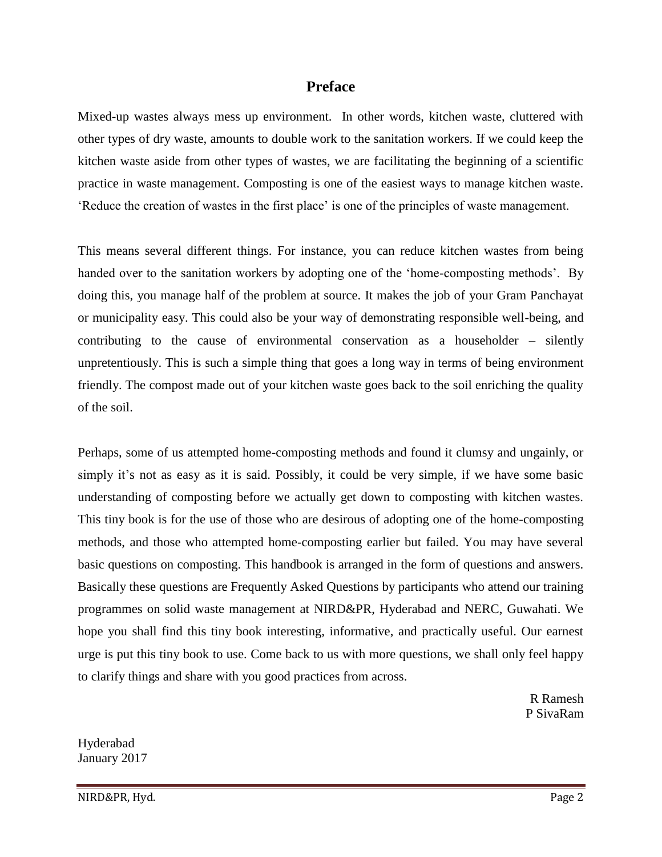#### **Preface**

Mixed-up wastes always mess up environment. In other words, kitchen waste, cluttered with other types of dry waste, amounts to double work to the sanitation workers. If we could keep the kitchen waste aside from other types of wastes, we are facilitating the beginning of a scientific practice in waste management. Composting is one of the easiest ways to manage kitchen waste. 'Reduce the creation of wastes in the first place' is one of the principles of waste management.

This means several different things. For instance, you can reduce kitchen wastes from being handed over to the sanitation workers by adopting one of the 'home-composting methods'. By doing this, you manage half of the problem at source. It makes the job of your Gram Panchayat or municipality easy. This could also be your way of demonstrating responsible well-being, and contributing to the cause of environmental conservation as a householder – silently unpretentiously. This is such a simple thing that goes a long way in terms of being environment friendly. The compost made out of your kitchen waste goes back to the soil enriching the quality of the soil.

Perhaps, some of us attempted home-composting methods and found it clumsy and ungainly, or simply it's not as easy as it is said. Possibly, it could be very simple, if we have some basic understanding of composting before we actually get down to composting with kitchen wastes. This tiny book is for the use of those who are desirous of adopting one of the home-composting methods, and those who attempted home-composting earlier but failed. You may have several basic questions on composting. This handbook is arranged in the form of questions and answers. Basically these questions are Frequently Asked Questions by participants who attend our training programmes on solid waste management at NIRD&PR, Hyderabad and NERC, Guwahati. We hope you shall find this tiny book interesting, informative, and practically useful. Our earnest urge is put this tiny book to use. Come back to us with more questions, we shall only feel happy to clarify things and share with you good practices from across.

> R Ramesh P SivaRam

Hyderabad January 2017

NIRD&PR, Hyd. Page 2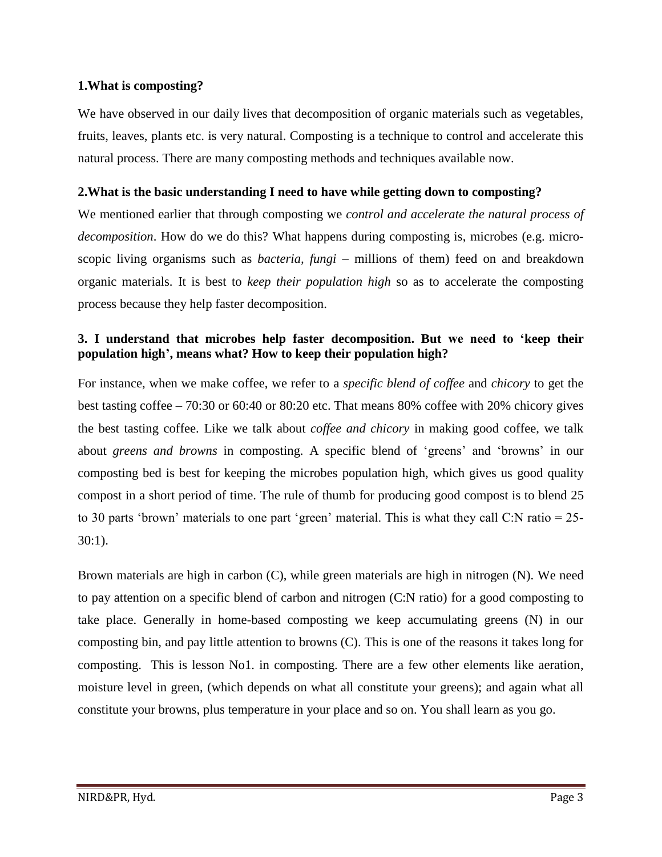#### **1.What is composting?**

We have observed in our daily lives that decomposition of organic materials such as vegetables, fruits, leaves, plants etc. is very natural. Composting is a technique to control and accelerate this natural process. There are many composting methods and techniques available now.

#### **2.What is the basic understanding I need to have while getting down to composting?**

We mentioned earlier that through composting we *control and accelerate the natural process of decomposition*. How do we do this? What happens during composting is, microbes (e.g. microscopic living organisms such as *bacteria, fungi* – millions of them) feed on and breakdown organic materials. It is best to *keep their population high* so as to accelerate the composting process because they help faster decomposition.

# **3. I understand that microbes help faster decomposition. But we need to 'keep their population high', means what? How to keep their population high?**

For instance, when we make coffee, we refer to a *specific blend of coffee* and *chicory* to get the best tasting coffee – 70:30 or 60:40 or 80:20 etc. That means 80% coffee with 20% chicory gives the best tasting coffee. Like we talk about *coffee and chicory* in making good coffee, we talk about *greens and browns* in composting. A specific blend of 'greens' and 'browns' in our composting bed is best for keeping the microbes population high, which gives us good quality compost in a short period of time. The rule of thumb for producing good compost is to blend 25 to 30 parts 'brown' materials to one part 'green' material. This is what they call C:N ratio = 25- 30:1).

Brown materials are high in carbon (C), while green materials are high in nitrogen (N). We need to pay attention on a specific blend of carbon and nitrogen (C:N ratio) for a good composting to take place. Generally in home-based composting we keep accumulating greens (N) in our composting bin, and pay little attention to browns (C). This is one of the reasons it takes long for composting. This is lesson No1. in composting. There are a few other elements like aeration, moisture level in green, (which depends on what all constitute your greens); and again what all constitute your browns, plus temperature in your place and so on. You shall learn as you go.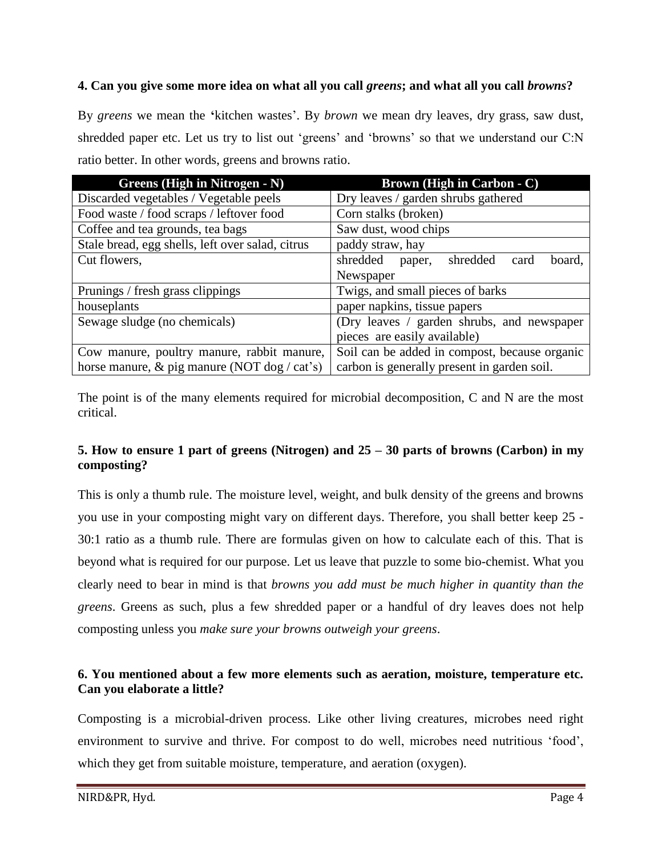# **4. Can you give some more idea on what all you call** *greens***; and what all you call** *browns***?**

By *greens* we mean the **'**kitchen wastes'. By *brown* we mean dry leaves, dry grass, saw dust, shredded paper etc. Let us try to list out 'greens' and 'browns' so that we understand our C:N ratio better. In other words, greens and browns ratio.

| Greens (High in Nitrogen - N)                    | <b>Brown (High in Carbon - C)</b>                |
|--------------------------------------------------|--------------------------------------------------|
| Discarded vegetables / Vegetable peels           | Dry leaves / garden shrubs gathered              |
| Food waste / food scraps / leftover food         | Corn stalks (broken)                             |
| Coffee and tea grounds, tea bags                 | Saw dust, wood chips                             |
| Stale bread, egg shells, left over salad, citrus | paddy straw, hay                                 |
| Cut flowers,                                     | shredded<br>shredded<br>board,<br>card<br>paper, |
|                                                  | Newspaper                                        |
| Prunings / fresh grass clippings                 | Twigs, and small pieces of barks                 |
| houseplants                                      | paper napkins, tissue papers                     |
| Sewage sludge (no chemicals)                     | (Dry leaves / garden shrubs, and newspaper       |
|                                                  | pieces are easily available)                     |
| Cow manure, poultry manure, rabbit manure,       | Soil can be added in compost, because organic    |
| horse manure, & pig manure (NOT dog / cat's)     | carbon is generally present in garden soil.      |

The point is of the many elements required for microbial decomposition, C and N are the most critical.

# **5. How to ensure 1 part of greens (Nitrogen) and 25 – 30 parts of browns (Carbon) in my composting?**

This is only a thumb rule. The moisture level, weight, and bulk density of the greens and browns you use in your composting might vary on different days. Therefore, you shall better keep 25 - 30:1 ratio as a thumb rule. There are formulas given on how to calculate each of this. That is beyond what is required for our purpose. Let us leave that puzzle to some bio-chemist. What you clearly need to bear in mind is that *browns you add must be much higher in quantity than the greens*. Greens as such, plus a few shredded paper or a handful of dry leaves does not help composting unless you *make sure your browns outweigh your greens*.

# **6. You mentioned about a few more elements such as aeration, moisture, temperature etc. Can you elaborate a little?**

Composting is a microbial-driven process. Like other living creatures, microbes need right environment to survive and thrive. For compost to do well, microbes need nutritious 'food', which they get from suitable moisture, temperature, and aeration (oxygen).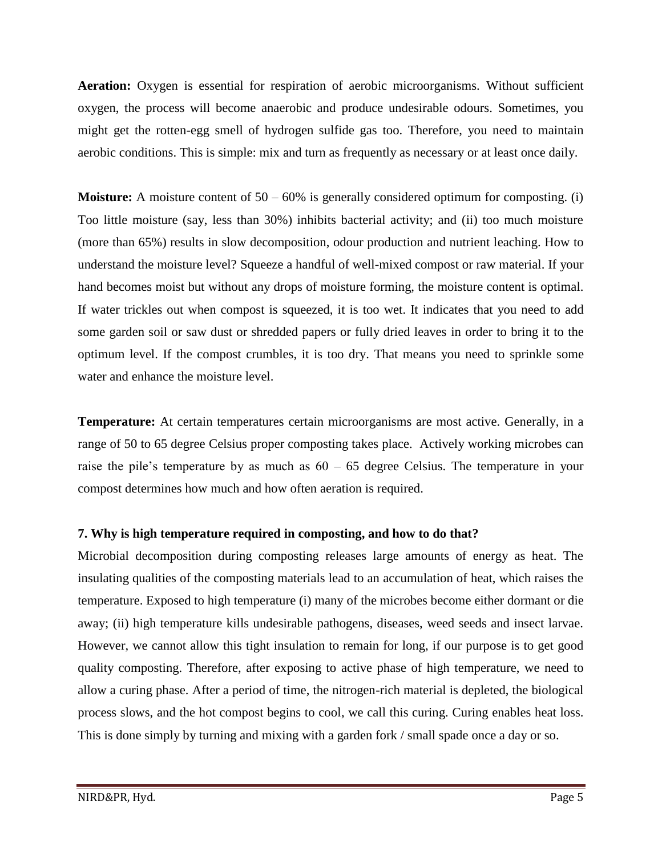**Aeration:** Oxygen is essential for respiration of aerobic microorganisms. Without sufficient oxygen, the process will become anaerobic and produce undesirable odours. Sometimes, you might get the rotten-egg smell of hydrogen sulfide gas too. Therefore, you need to maintain aerobic conditions. This is simple: mix and turn as frequently as necessary or at least once daily.

**Moisture:** A moisture content of 50 – 60% is generally considered optimum for composting. (i) Too little moisture (say, less than 30%) inhibits bacterial activity; and (ii) too much moisture (more than 65%) results in slow decomposition, odour production and nutrient leaching. How to understand the moisture level? Squeeze a handful of well-mixed compost or raw material. If your hand becomes moist but without any drops of moisture forming, the moisture content is optimal. If water trickles out when compost is squeezed, it is too wet. It indicates that you need to add some garden soil or saw dust or shredded papers or fully dried leaves in order to bring it to the optimum level. If the compost crumbles, it is too dry. That means you need to sprinkle some water and enhance the moisture level.

**Temperature:** At certain temperatures certain microorganisms are most active. Generally, in a range of 50 to 65 degree Celsius proper composting takes place. Actively working microbes can raise the pile's temperature by as much as 60 – 65 degree Celsius. The temperature in your compost determines how much and how often aeration is required.

# **7. Why is high temperature required in composting, and how to do that?**

Microbial decomposition during composting releases large amounts of energy as heat. The insulating qualities of the composting materials lead to an accumulation of heat, which raises the temperature. Exposed to high temperature (i) many of the microbes become either dormant or die away; (ii) high temperature kills undesirable pathogens, diseases, weed seeds and insect larvae. However, we cannot allow this tight insulation to remain for long, if our purpose is to get good quality composting. Therefore, after exposing to active phase of high temperature, we need to allow a curing phase. After a period of time, the nitrogen-rich material is depleted, the biological process slows, and the hot compost begins to cool, we call this curing. Curing enables heat loss. This is done simply by turning and mixing with a garden fork / small spade once a day or so.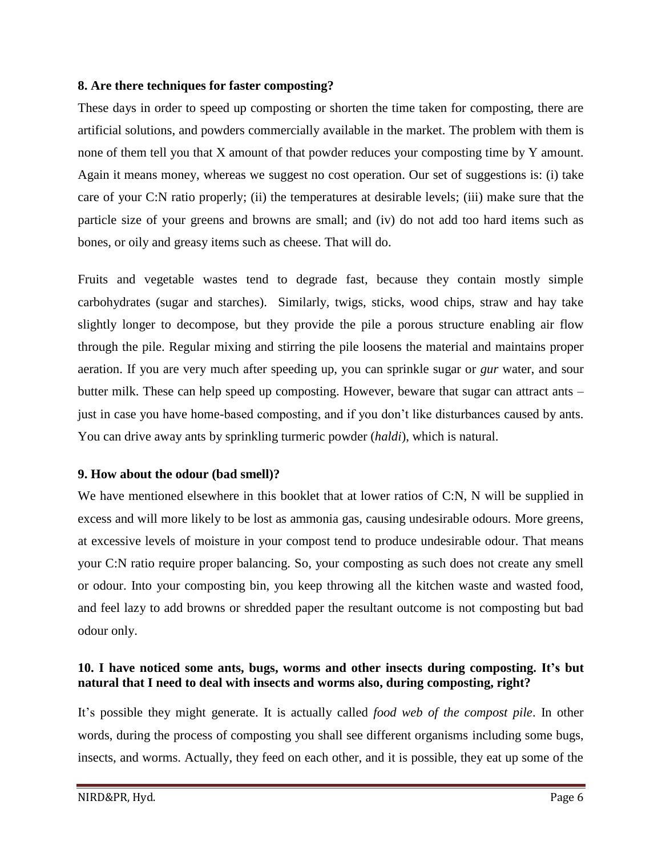#### **8. Are there techniques for faster composting?**

These days in order to speed up composting or shorten the time taken for composting, there are artificial solutions, and powders commercially available in the market. The problem with them is none of them tell you that X amount of that powder reduces your composting time by Y amount. Again it means money, whereas we suggest no cost operation. Our set of suggestions is: (i) take care of your C:N ratio properly; (ii) the temperatures at desirable levels; (iii) make sure that the particle size of your greens and browns are small; and (iv) do not add too hard items such as bones, or oily and greasy items such as cheese. That will do.

Fruits and vegetable wastes tend to degrade fast, because they contain mostly simple carbohydrates (sugar and starches). Similarly, twigs, sticks, wood chips, straw and hay take slightly longer to decompose, but they provide the pile a porous structure enabling air flow through the pile. Regular mixing and stirring the pile loosens the material and maintains proper aeration. If you are very much after speeding up, you can sprinkle sugar or *gur* water, and sour butter milk. These can help speed up composting. However, beware that sugar can attract ants – just in case you have home-based composting, and if you don't like disturbances caused by ants. You can drive away ants by sprinkling turmeric powder (*haldi*), which is natural.

# **9. How about the odour (bad smell)?**

We have mentioned elsewhere in this booklet that at lower ratios of C:N, N will be supplied in excess and will more likely to be lost as ammonia gas, causing undesirable odours. More greens, at excessive levels of moisture in your compost tend to produce undesirable odour. That means your C:N ratio require proper balancing. So, your composting as such does not create any smell or odour. Into your composting bin, you keep throwing all the kitchen waste and wasted food, and feel lazy to add browns or shredded paper the resultant outcome is not composting but bad odour only.

# **10. I have noticed some ants, bugs, worms and other insects during composting. It's but natural that I need to deal with insects and worms also, during composting, right?**

It's possible they might generate. It is actually called *food web of the compost pile*. In other words, during the process of composting you shall see different organisms including some bugs, insects, and worms. Actually, they feed on each other, and it is possible, they eat up some of the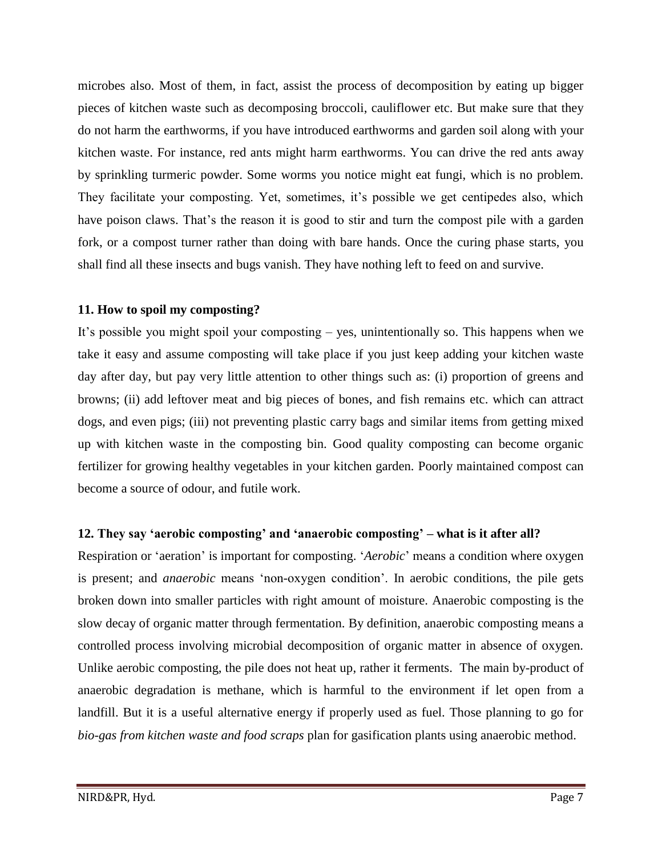microbes also. Most of them, in fact, assist the process of decomposition by eating up bigger pieces of kitchen waste such as decomposing broccoli, cauliflower etc. But make sure that they do not harm the earthworms, if you have introduced earthworms and garden soil along with your kitchen waste. For instance, red ants might harm earthworms. You can drive the red ants away by sprinkling turmeric powder. Some worms you notice might eat fungi, which is no problem. They facilitate your composting. Yet, sometimes, it's possible we get centipedes also, which have poison claws. That's the reason it is good to stir and turn the compost pile with a garden fork, or a compost turner rather than doing with bare hands. Once the curing phase starts, you shall find all these insects and bugs vanish. They have nothing left to feed on and survive.

#### **11. How to spoil my composting?**

It's possible you might spoil your composting – yes, unintentionally so. This happens when we take it easy and assume composting will take place if you just keep adding your kitchen waste day after day, but pay very little attention to other things such as: (i) proportion of greens and browns; (ii) add leftover meat and big pieces of bones, and fish remains etc. which can attract dogs, and even pigs; (iii) not preventing plastic carry bags and similar items from getting mixed up with kitchen waste in the composting bin. Good quality composting can become organic fertilizer for growing healthy vegetables in your kitchen garden. Poorly maintained compost can become a source of odour, and futile work.

# **12. They say 'aerobic composting' and 'anaerobic composting' – what is it after all?**

Respiration or 'aeration' is important for composting. '*Aerobic*' means a condition where oxygen is present; and *anaerobic* means 'non-oxygen condition'. In aerobic conditions, the pile gets broken down into smaller particles with right amount of moisture. Anaerobic composting is the slow decay of organic matter through fermentation. By definition, anaerobic composting means a controlled process involving microbial decomposition of organic matter in absence of oxygen. Unlike aerobic composting, the pile does not heat up, rather it ferments. The main by-product of anaerobic degradation is methane, which is harmful to the environment if let open from a landfill. But it is a useful alternative energy if properly used as fuel. Those planning to go for *bio-gas from kitchen waste and food scraps* plan for gasification plants using anaerobic method.